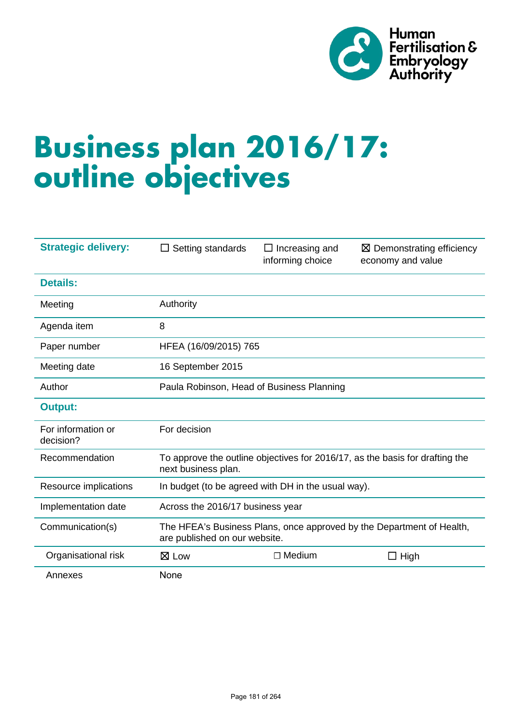

# **Business plan 2016/17: outline objectives**

| <b>Strategic delivery:</b>      | Setting standards<br>ப                                                                                 | $\Box$ Increasing and<br>informing choice | $\boxtimes$ Demonstrating efficiency<br>economy and value |
|---------------------------------|--------------------------------------------------------------------------------------------------------|-------------------------------------------|-----------------------------------------------------------|
| <b>Details:</b>                 |                                                                                                        |                                           |                                                           |
| Meeting                         | Authority                                                                                              |                                           |                                                           |
| Agenda item                     | 8                                                                                                      |                                           |                                                           |
| Paper number                    | HFEA (16/09/2015) 765                                                                                  |                                           |                                                           |
| Meeting date                    | 16 September 2015                                                                                      |                                           |                                                           |
| Author                          | Paula Robinson, Head of Business Planning                                                              |                                           |                                                           |
| <b>Output:</b>                  |                                                                                                        |                                           |                                                           |
| For information or<br>decision? | For decision                                                                                           |                                           |                                                           |
| Recommendation                  | To approve the outline objectives for 2016/17, as the basis for drafting the<br>next business plan.    |                                           |                                                           |
| Resource implications           | In budget (to be agreed with DH in the usual way).                                                     |                                           |                                                           |
| Implementation date             | Across the 2016/17 business year                                                                       |                                           |                                                           |
| Communication(s)                | The HFEA's Business Plans, once approved by the Department of Health,<br>are published on our website. |                                           |                                                           |
| Organisational risk             | $\boxtimes$ Low                                                                                        | $\Box$ Medium                             | High<br>$\Box$                                            |
| Annexes                         | None                                                                                                   |                                           |                                                           |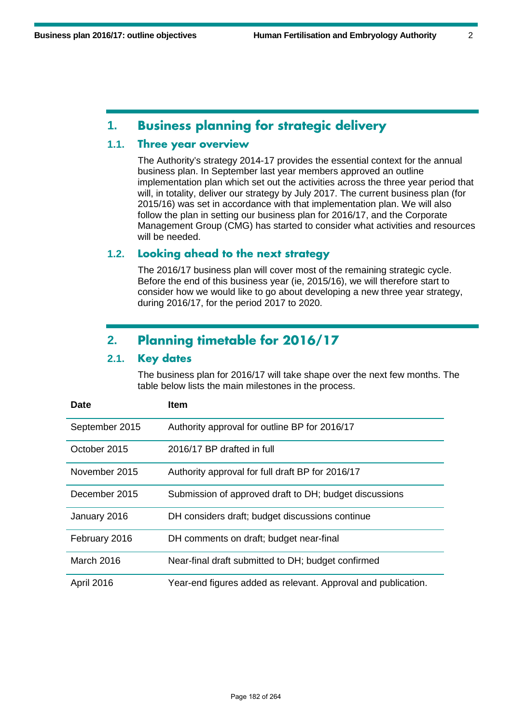#### **1. Business planning for strategic delivery**

#### **1.1. Three year overview**

The Authority's strategy 2014-17 provides the essential context for the annual business plan. In September last year members approved an outline implementation plan which set out the activities across the three year period that will, in totality, deliver our strategy by July 2017. The current business plan (for 2015/16) was set in accordance with that implementation plan. We will also follow the plan in setting our business plan for 2016/17, and the Corporate Management Group (CMG) has started to consider what activities and resources will be needed.

#### **1.2. Looking ahead to the next strategy**

The 2016/17 business plan will cover most of the remaining strategic cycle. Before the end of this business year (ie, 2015/16), we will therefore start to consider how we would like to go about developing a new three year strategy, during 2016/17, for the period 2017 to 2020.

### **2. Planning timetable for 2016/17**

#### **2.1. Key dates**

The business plan for 2016/17 will take shape over the next few months. The table below lists the main milestones in the process.

| Date              | <b>Item</b>                                                   |
|-------------------|---------------------------------------------------------------|
| September 2015    | Authority approval for outline BP for 2016/17                 |
| October 2015      | 2016/17 BP drafted in full                                    |
| November 2015     | Authority approval for full draft BP for 2016/17              |
| December 2015     | Submission of approved draft to DH; budget discussions        |
| January 2016      | DH considers draft; budget discussions continue               |
| February 2016     | DH comments on draft; budget near-final                       |
| <b>March 2016</b> | Near-final draft submitted to DH; budget confirmed            |
| April 2016        | Year-end figures added as relevant. Approval and publication. |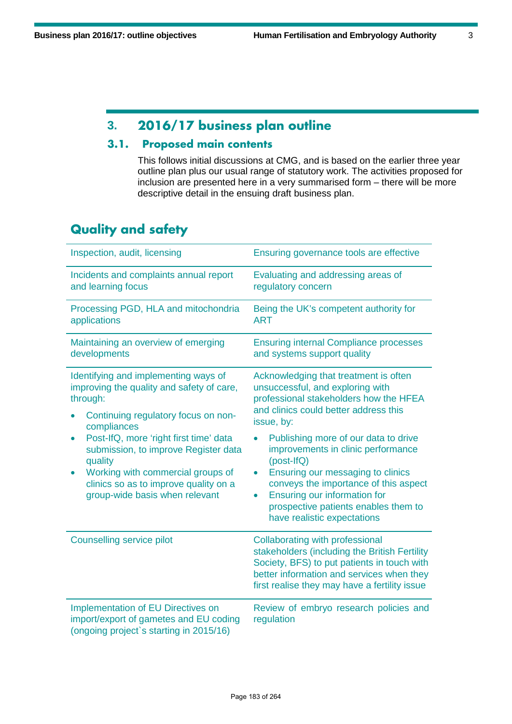## **3. 2016/17 business plan outline**

#### **3.1. Proposed main contents**

This follows initial discussions at CMG, and is based on the earlier three year outline plan plus our usual range of statutory work. The activities proposed for inclusion are presented here in a very summarised form – there will be more descriptive detail in the ensuing draft business plan.

## **Quality and safety**

| Inspection, audit, licensing                                                                                                                                                                                                                                                                                                                                     | Ensuring governance tools are effective                                                                                                                                                                                                                                                                                                                                                                                                                                                                   |  |
|------------------------------------------------------------------------------------------------------------------------------------------------------------------------------------------------------------------------------------------------------------------------------------------------------------------------------------------------------------------|-----------------------------------------------------------------------------------------------------------------------------------------------------------------------------------------------------------------------------------------------------------------------------------------------------------------------------------------------------------------------------------------------------------------------------------------------------------------------------------------------------------|--|
| Incidents and complaints annual report<br>and learning focus                                                                                                                                                                                                                                                                                                     | Evaluating and addressing areas of<br>regulatory concern                                                                                                                                                                                                                                                                                                                                                                                                                                                  |  |
| Processing PGD, HLA and mitochondria<br>applications                                                                                                                                                                                                                                                                                                             | Being the UK's competent authority for<br><b>ART</b>                                                                                                                                                                                                                                                                                                                                                                                                                                                      |  |
| Maintaining an overview of emerging<br>developments                                                                                                                                                                                                                                                                                                              | <b>Ensuring internal Compliance processes</b><br>and systems support quality                                                                                                                                                                                                                                                                                                                                                                                                                              |  |
| Identifying and implementing ways of<br>improving the quality and safety of care,<br>through:<br>Continuing regulatory focus on non-<br>compliances<br>Post-IfQ, more 'right first time' data<br>submission, to improve Register data<br>quality<br>Working with commercial groups of<br>clinics so as to improve quality on a<br>group-wide basis when relevant | Acknowledging that treatment is often<br>unsuccessful, and exploring with<br>professional stakeholders how the HFEA<br>and clinics could better address this<br>issue, by:<br>Publishing more of our data to drive<br>$\bullet$<br>improvements in clinic performance<br>(post-IfQ)<br>Ensuring our messaging to clinics<br>$\bullet$<br>conveys the importance of this aspect<br><b>Ensuring our information for</b><br>$\bullet$<br>prospective patients enables them to<br>have realistic expectations |  |
| Counselling service pilot                                                                                                                                                                                                                                                                                                                                        | <b>Collaborating with professional</b><br>stakeholders (including the British Fertility<br>Society, BFS) to put patients in touch with<br>better information and services when they<br>first realise they may have a fertility issue                                                                                                                                                                                                                                                                      |  |
| Implementation of EU Directives on<br>import/export of gametes and EU coding<br>(ongoing project's starting in 2015/16)                                                                                                                                                                                                                                          | Review of embryo research policies and<br>regulation                                                                                                                                                                                                                                                                                                                                                                                                                                                      |  |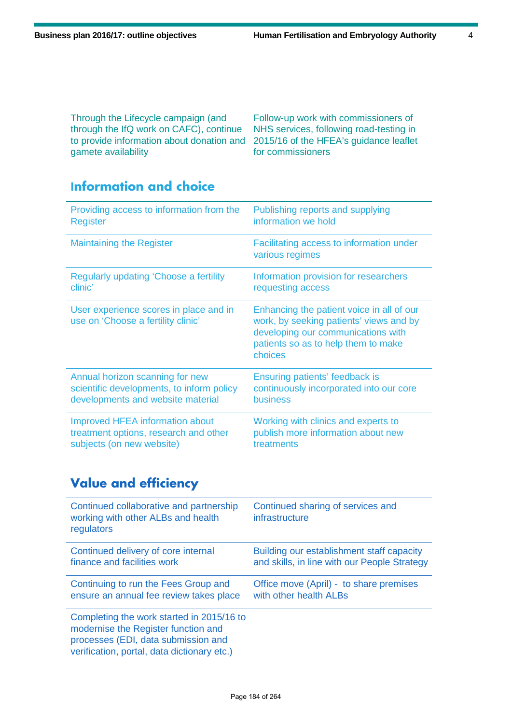Through the Lifecycle campaign (and through the IfQ work on CAFC), continue to provide information about donation and 2015/16 of the HFEA's guidance leaflet gamete availability

Follow-up work with commissioners of NHS services, following road-testing in for commissioners

## **Information and choice**

| Providing access to information from the                                     | Publishing reports and supplying                                                                                                                                             |
|------------------------------------------------------------------------------|------------------------------------------------------------------------------------------------------------------------------------------------------------------------------|
| <b>Register</b>                                                              | information we hold                                                                                                                                                          |
| <b>Maintaining the Register</b>                                              | Facilitating access to information under<br>various regimes                                                                                                                  |
| <b>Regularly updating 'Choose a fertility</b>                                | Information provision for researchers                                                                                                                                        |
| clinic'                                                                      | requesting access                                                                                                                                                            |
| User experience scores in place and in<br>use on 'Choose a fertility clinic' | Enhancing the patient voice in all of our<br>work, by seeking patients' views and by<br>developing our communications with<br>patients so as to help them to make<br>choices |
| Annual horizon scanning for new                                              | Ensuring patients' feedback is                                                                                                                                               |
| scientific developments, to inform policy                                    | continuously incorporated into our core                                                                                                                                      |
| developments and website material                                            | <b>business</b>                                                                                                                                                              |
| <b>Improved HFEA information about</b>                                       | Working with clinics and experts to                                                                                                                                          |
| treatment options, research and other                                        | publish more information about new                                                                                                                                           |
| subjects (on new website)                                                    | treatments                                                                                                                                                                   |

## **Value and efficiency**

| Continued collaborative and partnership<br>working with other ALBs and health<br>regulators                                                                            | Continued sharing of services and<br>infrastructure |
|------------------------------------------------------------------------------------------------------------------------------------------------------------------------|-----------------------------------------------------|
| Continued delivery of core internal                                                                                                                                    | Building our establishment staff capacity           |
| finance and facilities work                                                                                                                                            | and skills, in line with our People Strategy        |
| Continuing to run the Fees Group and                                                                                                                                   | Office move (April) - to share premises             |
| ensure an annual fee review takes place                                                                                                                                | with other health ALBs                              |
| Completing the work started in 2015/16 to<br>modernise the Register function and<br>processes (EDI, data submission and<br>verification, portal, data dictionary etc.) |                                                     |